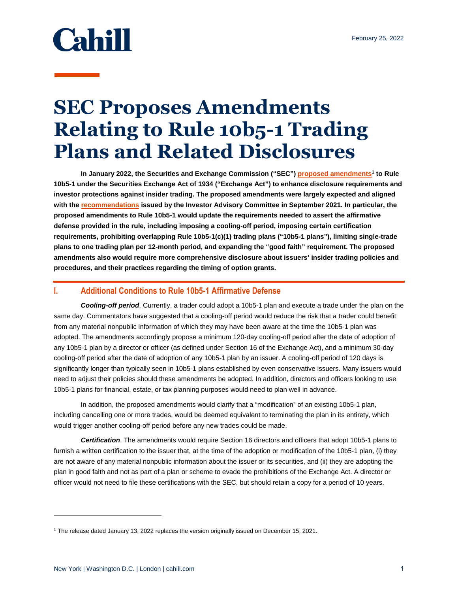# Cahill

## **SEC Proposes Amendments Relating to Rule 10b5-1 Trading Plans and Related Disclosures**

**In January 2022, the Securities and Exchange Commission ("SEC") [proposed amendments](https://www.sec.gov/rules/proposed/2022/33-11013.pdf)<sup>1</sup> to Rule 10b5-1 under the Securities Exchange Act of 1934 ("Exchange Act") to enhance disclosure requirements and investor protections against insider trading. The proposed amendments were largely expected and aligned with th[e recommendations](https://www.cahill.com/publications/firm-memoranda/2021-09-16-investor-advisory-committee-recommends-rule-10b5-1-reform/_res/id=Attachments/index=0/CGR%20Memo%20-%20Investor%20Advisory%20Committee%20Recommends%20Rule%2010b5-1%20Reform.pdf) issued by the Investor Advisory Committee in September 2021. In particular, the proposed amendments to Rule 10b5-1 would update the requirements needed to assert the affirmative defense provided in the rule, including imposing a cooling-off period, imposing certain certification requirements, prohibiting overlapping Rule 10b5-1(c)(1) trading plans ("10b5-1 plans"), limiting single-trade plans to one trading plan per 12-month period, and expanding the "good faith" requirement. The proposed amendments also would require more comprehensive disclosure about issuers' insider trading policies and procedures, and their practices regarding the timing of option grants.** 

#### **I. Additional Conditions to Rule 10b5-1 Affirmative Defense**

*Cooling-off period*. Currently, a trader could adopt a 10b5-1 plan and execute a trade under the plan on the same day. Commentators have suggested that a cooling-off period would reduce the risk that a trader could benefit from any material nonpublic information of which they may have been aware at the time the 10b5-1 plan was adopted. The amendments accordingly propose a minimum 120-day cooling-off period after the date of adoption of any 10b5-1 plan by a director or officer (as defined under Section 16 of the Exchange Act), and a minimum 30-day cooling-off period after the date of adoption of any 10b5-1 plan by an issuer. A cooling-off period of 120 days is significantly longer than typically seen in 10b5-1 plans established by even conservative issuers. Many issuers would need to adjust their policies should these amendments be adopted. In addition, directors and officers looking to use 10b5-1 plans for financial, estate, or tax planning purposes would need to plan well in advance.

In addition, the proposed amendments would clarify that a "modification" of an existing 10b5-1 plan, including cancelling one or more trades, would be deemed equivalent to terminating the plan in its entirety, which would trigger another cooling-off period before any new trades could be made.

*Certification*. The amendments would require Section 16 directors and officers that adopt 10b5-1 plans to furnish a written certification to the issuer that, at the time of the adoption or modification of the 10b5-1 plan, (i) they are not aware of any material nonpublic information about the issuer or its securities, and (ii) they are adopting the plan in good faith and not as part of a plan or scheme to evade the prohibitions of the Exchange Act. A director or officer would not need to file these certifications with the SEC, but should retain a copy for a period of 10 years.

l

<sup>1</sup> The release dated January 13, 2022 replaces the version originally issued on December 15, 2021.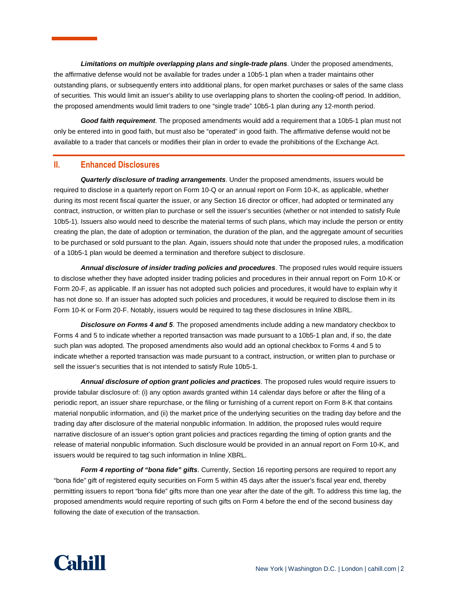*Limitations on multiple overlapping plans and single-trade plans*. Under the proposed amendments, the affirmative defense would not be available for trades under a 10b5-1 plan when a trader maintains other outstanding plans, or subsequently enters into additional plans, for open market purchases or sales of the same class of securities. This would limit an issuer's ability to use overlapping plans to shorten the cooling-off period. In addition, the proposed amendments would limit traders to one "single trade" 10b5-1 plan during any 12-month period.

*Good faith requirement*. The proposed amendments would add a requirement that a 10b5-1 plan must not only be entered into in good faith, but must also be "operated" in good faith. The affirmative defense would not be available to a trader that cancels or modifies their plan in order to evade the prohibitions of the Exchange Act.

#### **II. Enhanced Disclosures**

*Quarterly disclosure of trading arrangements*. Under the proposed amendments, issuers would be required to disclose in a quarterly report on Form 10-Q or an annual report on Form 10-K, as applicable, whether during its most recent fiscal quarter the issuer, or any Section 16 director or officer, had adopted or terminated any contract, instruction, or written plan to purchase or sell the issuer's securities (whether or not intended to satisfy Rule 10b5-1). Issuers also would need to describe the material terms of such plans, which may include the person or entity creating the plan, the date of adoption or termination, the duration of the plan, and the aggregate amount of securities to be purchased or sold pursuant to the plan. Again, issuers should note that under the proposed rules, a modification of a 10b5-1 plan would be deemed a termination and therefore subject to disclosure.

*Annual disclosure of insider trading policies and procedures*. The proposed rules would require issuers to disclose whether they have adopted insider trading policies and procedures in their annual report on Form 10-K or Form 20-F, as applicable. If an issuer has not adopted such policies and procedures, it would have to explain why it has not done so. If an issuer has adopted such policies and procedures, it would be required to disclose them in its Form 10-K or Form 20-F. Notably, issuers would be required to tag these disclosures in Inline XBRL.

*Disclosure on Forms 4 and 5*. The proposed amendments include adding a new mandatory checkbox to Forms 4 and 5 to indicate whether a reported transaction was made pursuant to a 10b5-1 plan and, if so, the date such plan was adopted. The proposed amendments also would add an optional checkbox to Forms 4 and 5 to indicate whether a reported transaction was made pursuant to a contract, instruction, or written plan to purchase or sell the issuer's securities that is not intended to satisfy Rule 10b5-1.

*Annual disclosure of option grant policies and practices*. The proposed rules would require issuers to provide tabular disclosure of: (i) any option awards granted within 14 calendar days before or after the filing of a periodic report, an issuer share repurchase, or the filing or furnishing of a current report on Form 8-K that contains material nonpublic information, and (ii) the market price of the underlying securities on the trading day before and the trading day after disclosure of the material nonpublic information. In addition, the proposed rules would require narrative disclosure of an issuer's option grant policies and practices regarding the timing of option grants and the release of material nonpublic information. Such disclosure would be provided in an annual report on Form 10-K, and issuers would be required to tag such information in Inline XBRL.

*Form 4 reporting of "bona fide" gifts*. Currently, Section 16 reporting persons are required to report any "bona fide" gift of registered equity securities on Form 5 within 45 days after the issuer's fiscal year end, thereby permitting issuers to report "bona fide" gifts more than one year after the date of the gift. To address this time lag, the proposed amendments would require reporting of such gifts on Form 4 before the end of the second business day following the date of execution of the transaction.